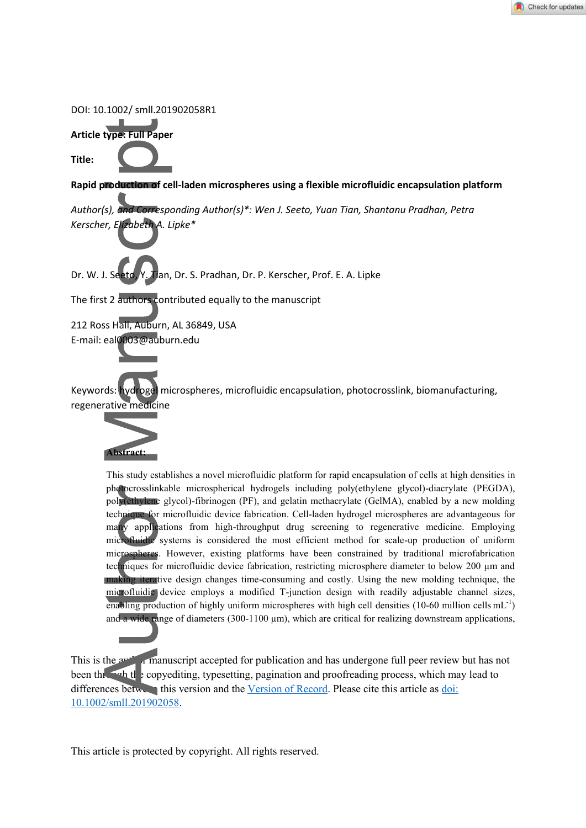#### DOI: 10.1002/ smll.201902058R1





**Rapid production of cell-laden microspheres using a flexible microfluidic encapsulation platform** 

*Author(s), and Corresponding Author(s)\*: Wen J. Seeto, Yuan Tian, Shantanu Pradhan, Petra Kerscher, Elizabeth A. Lipke\** 

Dr. W. J. Seeto, Y. Tian, Dr. S. Pradhan, Dr. P. Kerscher, Prof. E. A. Lipke

The first 2 authors contributed equally to the manuscript

212 Ross Hall, Auburn, AL 36849, USA E-mail: eal0003@auburn.edu

Keywords: hydrogel microspheres, microfluidic encapsulation, photocrosslink, biomanufacturing, regenerative medicine



This study establishes a novel microfluidic platform for rapid encapsulation of cells at high densities in photocrosslinkable microspherical hydrogels including poly(ethylene glycol)-diacrylate (PEGDA), poly(ethylene glycol)-fibrinogen (PF), and gelatin methacrylate (GelMA), enabled by a new molding technique for microfluidic device fabrication. Cell-laden hydrogel microspheres are advantageous for many applications from high-throughput drug screening to regenerative medicine. Employing microfluidic systems is considered the most efficient method for scale-up production of uniform microspheres. However, existing platforms have been constrained by traditional microfabrication techniques for microfluidic device fabrication, restricting microsphere diameter to below 200 um and making iterative design changes time-consuming and costly. Using the new molding technique, the microfluidic device employs a modified T-junction design with readily adjustable channel sizes, enabling production of highly uniform microspheres with high cell densities (10-60 million cells  $mL^{-1}$ ) and a wide range of diameters (300-1100  $\mu$ m), which are critical for realizing downstream applications,

This is the author manuscript accepted for publication and has undergone full peer review but has not been the copyediting, typesetting, pagination and proofreading process, which may lead to differences between this version and th[e Version of Record.](https://doi.org/10.1002/smll.201902058) Please cite this article as doi: [10.1002/smll.201902058.](https://doi.org/10.1002/smll.201902058)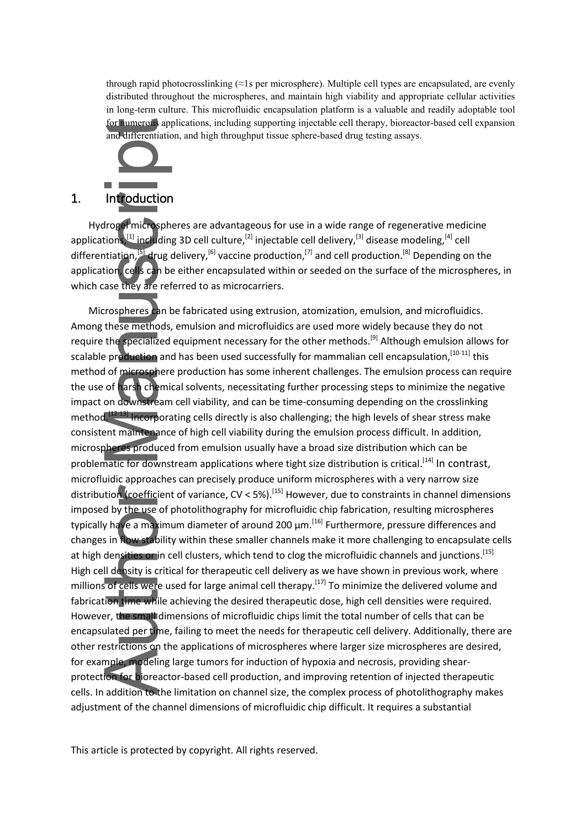through rapid photocrosslinking (≈1s per microsphere). Multiple cell types are encapsulated, are evenly distributed throughout the microspheres, and maintain high viability and appropriate cellular activities in long-term culture. This microfluidic encapsulation platform is a valuable and readily adoptable tool for numerous applications, including supporting injectable cell therapy, bioreactor-based cell expansion and differentiation, and high throughput tissue sphere-based drug testing assays.



### 1. Introduction

Hydrogel microspheres are advantageous for use in a wide range of regenerative medicine applications,<sup>[1]</sup> including 3D cell culture,<sup>[2]</sup> injectable cell delivery,<sup>[3]</sup> disease modeling,<sup>[4]</sup> cell differentiation,<sup>[5]</sup> drug delivery,<sup>[6]</sup> vaccine production,<sup>[7]</sup> and cell production.<sup>[8]</sup> Depending on the application, cells can be either encapsulated within or seeded on the surface of the microspheres, in which case they are referred to as microcarriers.

Microspheres can be fabricated using extrusion, atomization, emulsion, and microfluidics. Among these methods, emulsion and microfluidics are used more widely because they do not require the specialized equipment necessary for the other methods.[9] Although emulsion allows for scalable production and has been used successfully for mammalian cell encapsulation, [10-11] this method of microsphere production has some inherent challenges. The emulsion process can require the use of harsh chemical solvents, necessitating further processing steps to minimize the negative impact on downstream cell viability, and can be time-consuming depending on the crosslinking method.<sup>[12-13]</sup> Incorporating cells directly is also challenging; the high levels of shear stress make consistent maintenance of high cell viability during the emulsion process difficult. In addition, microspheres produced from emulsion usually have a broad size distribution which can be problematic for downstream applications where tight size distribution is critical.<sup>[14]</sup> In contrast. microfluidic approaches can precisely produce uniform microspheres with a very narrow size distribution (coefficient of variance,  $CV < 5\%$ ).<sup>[15]</sup> However, due to constraints in channel dimensions imposed by the use of photolithography for microfluidic chip fabrication, resulting microspheres typically have a maximum diameter of around 200 μm.<sup>[16]</sup> Furthermore, pressure differences and changes in flow stability within these smaller channels make it more challenging to encapsulate cells at high densities or in cell clusters, which tend to clog the microfluidic channels and junctions.<sup>[15]</sup> High cell density is critical for therapeutic cell delivery as we have shown in previous work, where millions of cells were used for large animal cell therapy.<sup>[17]</sup> To minimize the delivered volume and fabrication time while achieving the desired therapeutic dose, high cell densities were required. However, the small dimensions of microfluidic chips limit the total number of cells that can be encapsulated per time, failing to meet the needs for therapeutic cell delivery. Additionally, there are other restrictions on the applications of microspheres where larger size microspheres are desired, for example, modeling large tumors for induction of hypoxia and necrosis, providing shearprotection for bioreactor-based cell production, and improving retention of injected therapeutic cells. In addition to the limitation on channel size, the complex process of photolithography makes adjustment of the channel dimensions of microfluidic chip difficult. It requires a substantial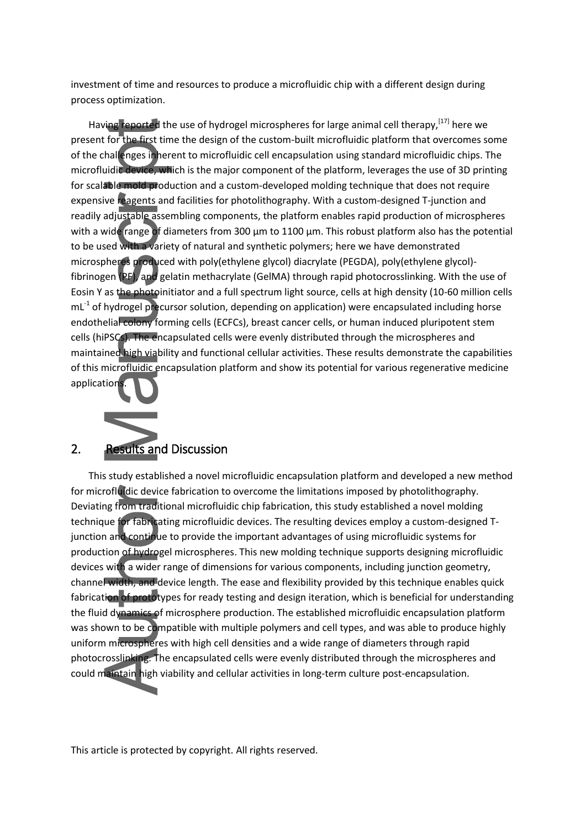investment of time and resources to produce a microfluidic chip with a different design during process optimization.

Having reported the use of hydrogel microspheres for large animal cell therapy,<sup>[17]</sup> here we present for the first time the design of the custom-built microfluidic platform that overcomes some of the challenges inherent to microfluidic cell encapsulation using standard microfluidic chips. The microfluidic device, which is the major component of the platform, leverages the use of 3D printing for scalable mold production and a custom-developed molding technique that does not require expensive reagents and facilities for photolithography. With a custom-designed T-junction and readily adjustable assembling components, the platform enables rapid production of microspheres with a wide range of diameters from 300 μm to 1100 μm. This robust platform also has the potential to be used with a variety of natural and synthetic polymers; here we have demonstrated microspheres produced with poly(ethylene glycol) diacrylate (PEGDA), poly(ethylene glycol) fibrinogen (PF), and gelatin methacrylate (GelMA) through rapid photocrosslinking. With the use of Eosin Y as the photoinitiator and a full spectrum light source, cells at high density (10-60 million cells  $mL<sup>-1</sup>$  of hydrogel precursor solution, depending on application) were encapsulated including horse endothelial colony forming cells (ECFCs), breast cancer cells, or human induced pluripotent stem cells (hiPSCs). The encapsulated cells were evenly distributed through the microspheres and maintained high viability and functional cellular activities. These results demonstrate the capabilities of this microfluidic encapsulation platform and show its potential for various regenerative medicine applications.



### 2. Results and Discussion

This study established a novel microfluidic encapsulation platform and developed a new method for microfluidic device fabrication to overcome the limitations imposed by photolithography. Deviating from traditional microfluidic chip fabrication, this study established a novel molding technique for fabricating microfluidic devices. The resulting devices employ a custom-designed Tjunction and continue to provide the important advantages of using microfluidic systems for production of hydrogel microspheres. This new molding technique supports designing microfluidic devices with a wider range of dimensions for various components, including junction geometry, channel width, and device length. The ease and flexibility provided by this technique enables quick fabrication of prototypes for ready testing and design iteration, which is beneficial for understanding the fluid dynamics of microsphere production. The established microfluidic encapsulation platform was shown to be compatible with multiple polymers and cell types, and was able to produce highly uniform microspheres with high cell densities and a wide range of diameters through rapid photocrosslinking. The encapsulated cells were evenly distributed through the microspheres and could maintain high viability and cellular activities in long-term culture post-encapsulation.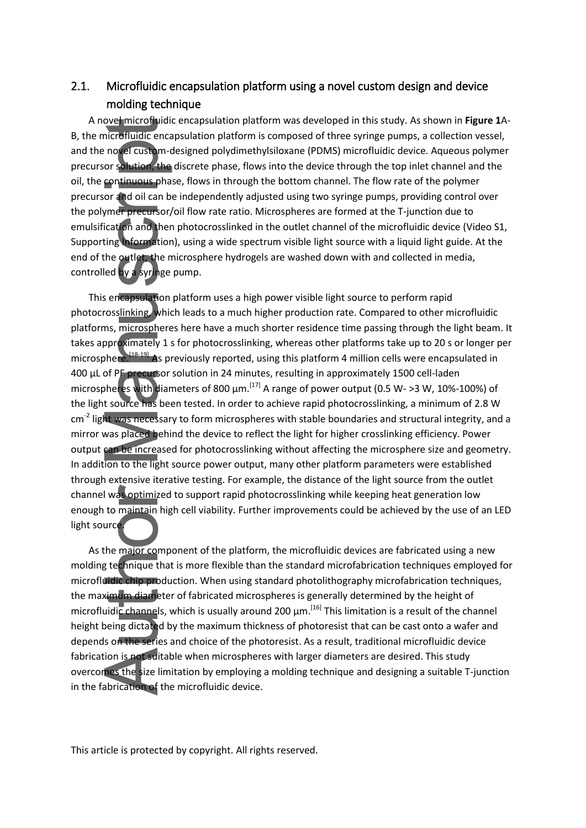### 2.1. Microfluidic encapsulation platform using a novel custom design and device molding technique

A novel microfluidic encapsulation platform was developed in this study. As shown in **Figure 1**A-B, the microfluidic encapsulation platform is composed of three syringe pumps, a collection vessel, and the novel custom-designed polydimethylsiloxane (PDMS) microfluidic device. Aqueous polymer precursor solution, the discrete phase, flows into the device through the top inlet channel and the oil, the continuous phase, flows in through the bottom channel. The flow rate of the polymer precursor and oil can be independently adjusted using two syringe pumps, providing control over the polymer precursor/oil flow rate ratio. Microspheres are formed at the T-junction due to emulsification and then photocrosslinked in the outlet channel of the microfluidic device (Video S1, Supporting Information), using a wide spectrum visible light source with a liquid light guide. At the end of the outlet, the microsphere hydrogels are washed down with and collected in media, controlled by a syringe pump.

This encapsulation platform uses a high power visible light source to perform rapid photocrosslinking, which leads to a much higher production rate. Compared to other microfluidic platforms, microspheres here have a much shorter residence time passing through the light beam. It takes approximately 1 s for photocrosslinking, whereas other platforms take up to 20 s or longer per microsphere.<sup>[18-19]</sup> As previously reported, using this platform 4 million cells were encapsulated in 400 µL of PF precursor solution in 24 minutes, resulting in approximately 1500 cell-laden microspheres with diameters of 800  $\mu$ m.<sup>[17]</sup> A range of power output (0.5 W- >3 W, 10%-100%) of the light source has been tested. In order to achieve rapid photocrosslinking, a minimum of 2.8 W cm<sup>-2</sup> light was necessary to form microspheres with stable boundaries and structural integrity, and a mirror was placed behind the device to reflect the light for higher crosslinking efficiency. Power output can be increased for photocrosslinking without affecting the microsphere size and geometry. In addition to the light source power output, many other platform parameters were established through extensive iterative testing. For example, the distance of the light source from the outlet channel was optimized to support rapid photocrosslinking while keeping heat generation low enough to maintain high cell viability. Further improvements could be achieved by the use of an LED light source.

As the major component of the platform, the microfluidic devices are fabricated using a new molding technique that is more flexible than the standard microfabrication techniques employed for microfluidic chip production. When using standard photolithography microfabrication techniques, the maximum diameter of fabricated microspheres is generally determined by the height of microfluidic channels, which is usually around 200 μm.<sup>[16]</sup> This limitation is a result of the channel height being dictated by the maximum thickness of photoresist that can be cast onto a wafer and depends on the series and choice of the photoresist. As a result, traditional microfluidic device fabrication is not suitable when microspheres with larger diameters are desired. This study overcomes the size limitation by employing a molding technique and designing a suitable T-junction in the fabrication of the microfluidic device.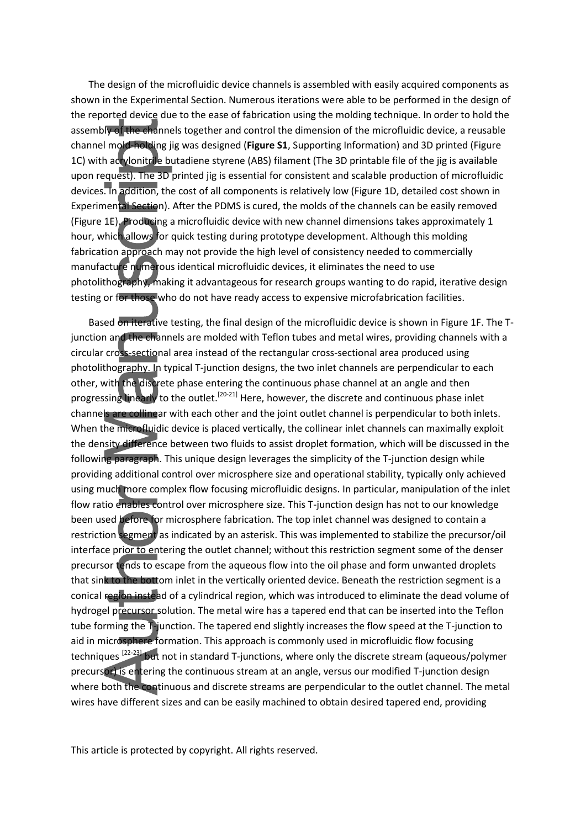The design of the microfluidic device channels is assembled with easily acquired components as shown in the Experimental Section. Numerous iterations were able to be performed in the design of the reported device due to the ease of fabrication using the molding technique. In order to hold the assembly of the channels together and control the dimension of the microfluidic device, a reusable channel mold-holding jig was designed (**Figure S1**, Supporting Information) and 3D printed (Figure 1C) with acrylonitrile butadiene styrene (ABS) filament (The 3D printable file of the jig is available upon request). The 3D printed jig is essential for consistent and scalable production of microfluidic devices. In addition, the cost of all components is relatively low (Figure 1D, detailed cost shown in Experimental Section). After the PDMS is cured, the molds of the channels can be easily removed (Figure 1E). Producing a microfluidic device with new channel dimensions takes approximately 1 hour, which allows for quick testing during prototype development. Although this molding fabrication approach may not provide the high level of consistency needed to commercially manufacture numerous identical microfluidic devices, it eliminates the need to use photolithography, making it advantageous for research groups wanting to do rapid, iterative design testing or for those who do not have ready access to expensive microfabrication facilities.

Based on iterative testing, the final design of the microfluidic device is shown in Figure 1F. The Tjunction and the channels are molded with Teflon tubes and metal wires, providing channels with a circular cross-sectional area instead of the rectangular cross-sectional area produced using photolithography. In typical T-junction designs, the two inlet channels are perpendicular to each other, with the discrete phase entering the continuous phase channel at an angle and then progressing linearly to the outlet.<sup>[20-21]</sup> Here, however, the discrete and continuous phase inlet channels are collinear with each other and the joint outlet channel is perpendicular to both inlets. When the microfluidic device is placed vertically, the collinear inlet channels can maximally exploit the density difference between two fluids to assist droplet formation, which will be discussed in the following paragraph. This unique design leverages the simplicity of the T-junction design while providing additional control over microsphere size and operational stability, typically only achieved using much more complex flow focusing microfluidic designs. In particular, manipulation of the inlet flow ratio enables control over microsphere size. This T-junction design has not to our knowledge been used before for microsphere fabrication. The top inlet channel was designed to contain a restriction segment as indicated by an asterisk. This was implemented to stabilize the precursor/oil interface prior to entering the outlet channel; without this restriction segment some of the denser precursor tends to escape from the aqueous flow into the oil phase and form unwanted droplets that sink to the bottom inlet in the vertically oriented device. Beneath the restriction segment is a conical region instead of a cylindrical region, which was introduced to eliminate the dead volume of hydrogel precursor solution. The metal wire has a tapered end that can be inserted into the Teflon tube forming the T-junction. The tapered end slightly increases the flow speed at the T-junction to aid in microsphere formation. This approach is commonly used in microfluidic flow focusing techniques<sup> [22-23]</sup> but not in standard T-junctions, where only the discrete stream (aqueous/polymer precursor) is entering the continuous stream at an angle, versus our modified T-junction design where both the continuous and discrete streams are perpendicular to the outlet channel. The metal wires have different sizes and can be easily machined to obtain desired tapered end, providing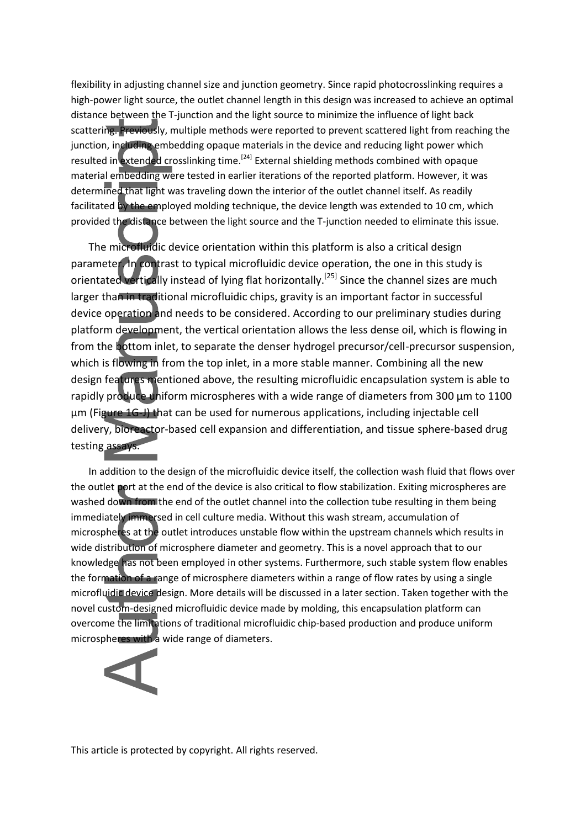flexibility in adjusting channel size and junction geometry. Since rapid photocrosslinking requires a high-power light source, the outlet channel length in this design was increased to achieve an optimal distance between the T-junction and the light source to minimize the influence of light back scattering. Previously, multiple methods were reported to prevent scattered light from reaching the junction, including embedding opaque materials in the device and reducing light power which resulted in extended crosslinking time.<sup>[24]</sup> External shielding methods combined with opaque material embedding were tested in earlier iterations of the reported platform. However, it was determined that light was traveling down the interior of the outlet channel itself. As readily facilitated by the employed molding technique, the device length was extended to 10 cm, which provided the distance between the light source and the T-junction needed to eliminate this issue.

The microfluidic device orientation within this platform is also a critical design parameter. In contrast to typical microfluidic device operation, the one in this study is orientated vertically instead of lying flat horizontally.<sup>[25]</sup> Since the channel sizes are much larger than in traditional microfluidic chips, gravity is an important factor in successful device operation and needs to be considered. According to our preliminary studies during platform development, the vertical orientation allows the less dense oil, which is flowing in from the bottom inlet, to separate the denser hydrogel precursor/cell-precursor suspension, which is flowing in from the top inlet, in a more stable manner. Combining all the new design features mentioned above, the resulting microfluidic encapsulation system is able to rapidly produce uniform microspheres with a wide range of diameters from 300  $\mu$ m to 1100 µm (Figure 1G-J) that can be used for numerous applications, including injectable cell delivery, bioreactor-based cell expansion and differentiation, and tissue sphere-based drug testing assays.

In addition to the design of the microfluidic device itself, the collection wash fluid that flows over the outlet port at the end of the device is also critical to flow stabilization. Exiting microspheres are washed down from the end of the outlet channel into the collection tube resulting in them being immediately immersed in cell culture media. Without this wash stream, accumulation of microspheres at the outlet introduces unstable flow within the upstream channels which results in wide distribution of microsphere diameter and geometry. This is a novel approach that to our knowledge has not been employed in other systems. Furthermore, such stable system flow enables the formation of a range of microsphere diameters within a range of flow rates by using a single microfluidic device design. More details will be discussed in a later section. Taken together with the novel custom-designed microfluidic device made by molding, this encapsulation platform can overcome the limitations of traditional microfluidic chip-based production and produce uniform microspheres with a wide range of diameters.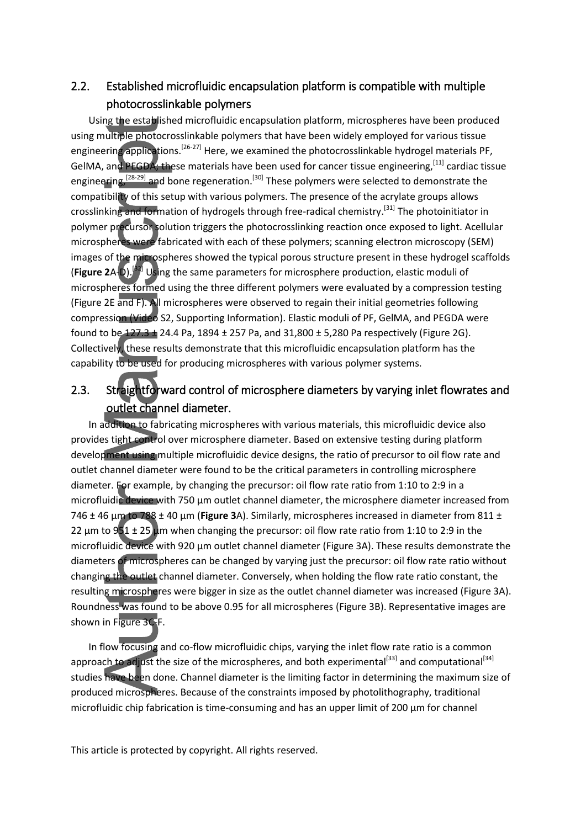## 2.2. Established microfluidic encapsulation platform is compatible with multiple photocrosslinkable polymers

Using the established microfluidic encapsulation platform, microspheres have been produced using multiple photocrosslinkable polymers that have been widely employed for various tissue engineering applications.<sup>[26-27]</sup> Here, we examined the photocrosslinkable hydrogel materials PF, GelMA, and PEGDA; these materials have been used for cancer tissue engineering,<sup>[11]</sup> cardiac tissue engineering,<sup>[28-29]</sup> and bone regeneration.<sup>[30]</sup> These polymers were selected to demonstrate the compatibility of this setup with various polymers. The presence of the acrylate groups allows crosslinking and formation of hydrogels through free-radical chemistry.[31] The photoinitiator in polymer precursor solution triggers the photocrosslinking reaction once exposed to light. Acellular microspheres were fabricated with each of these polymers; scanning electron microscopy (SEM) images of the microspheres showed the typical porous structure present in these hydrogel scaffolds (**Figure 2**A-D). [32] Using the same parameters for microsphere production, elastic moduli of microspheres formed using the three different polymers were evaluated by a compression testing (Figure 2E and F). All microspheres were observed to regain their initial geometries following compression (Video S2, Supporting Information). Elastic moduli of PF, GelMA, and PEGDA were found to be  $127.3 \pm 24.4$  Pa,  $1894 \pm 257$  Pa, and  $31,800 \pm 5,280$  Pa respectively (Figure 2G). Collectively, these results demonstrate that this microfluidic encapsulation platform has the capability to be used for producing microspheres with various polymer systems.

## 2.3. Straightforward control of microsphere diameters by varying inlet flowrates and outlet channel diameter.

In addition to fabricating microspheres with various materials, this microfluidic device also provides tight control over microsphere diameter. Based on extensive testing during platform development using multiple microfluidic device designs, the ratio of precursor to oil flow rate and outlet channel diameter were found to be the critical parameters in controlling microsphere diameter. For example, by changing the precursor: oil flow rate ratio from 1:10 to 2:9 in a microfluidic device with 750 μm outlet channel diameter, the microsphere diameter increased from 746 ± 46 μm to 788 ± 40 μm (**Figure 3**A). Similarly, microspheres increased in diameter from 811 ± 22  $\mu$ m to 951 ± 25  $\mu$ m when changing the precursor: oil flow rate ratio from 1:10 to 2:9 in the microfluidic device with 920 μm outlet channel diameter (Figure 3A). These results demonstrate the diameters of microspheres can be changed by varying just the precursor: oil flow rate ratio without changing the outlet channel diameter. Conversely, when holding the flow rate ratio constant, the resulting microspheres were bigger in size as the outlet channel diameter was increased (Figure 3A). Roundness was found to be above 0.95 for all microspheres (Figure 3B). Representative images are shown in Figure 3C-F.

In flow focusing and co-flow microfluidic chips, varying the inlet flow rate ratio is a common approach to adjust the size of the microspheres, and both experimental<sup>[33]</sup> and computational<sup>[34]</sup> studies have been done. Channel diameter is the limiting factor in determining the maximum size of produced microspheres. Because of the constraints imposed by photolithography, traditional microfluidic chip fabrication is time-consuming and has an upper limit of 200  $\mu$ m for channel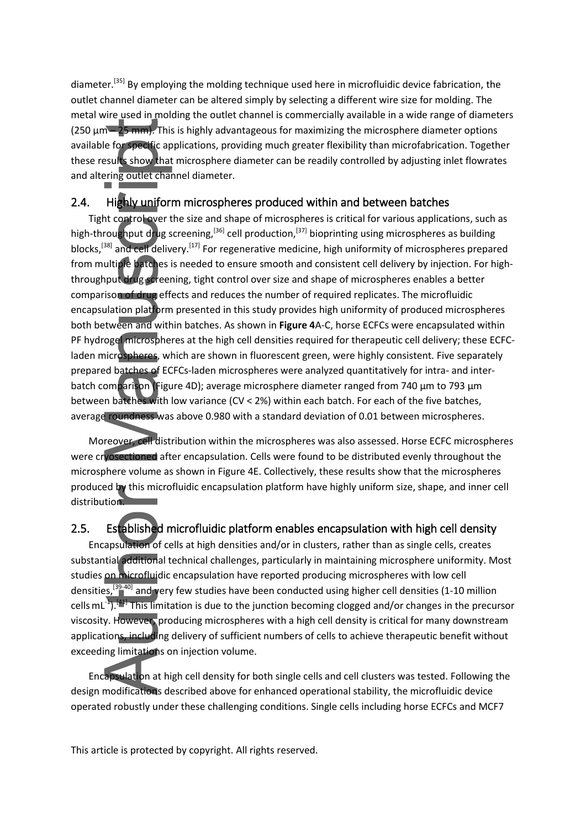diameter.<sup>[35]</sup> By employing the molding technique used here in microfluidic device fabrication, the outlet channel diameter can be altered simply by selecting a different wire size for molding. The metal wire used in molding the outlet channel is commercially available in a wide range of diameters (250  $\mu$ m – 25 mm). This is highly advantageous for maximizing the microsphere diameter options available for specific applications, providing much greater flexibility than microfabrication. Together these results show that microsphere diameter can be readily controlled by adjusting inlet flowrates and altering outlet channel diameter.

#### 2.4. Highly uniform microspheres produced within and between batches

Tight control over the size and shape of microspheres is critical for various applications, such as high-throughput drug screening,<sup>[36]</sup> cell production,<sup>[37]</sup> bioprinting using microspheres as building blocks,<sup>[38]</sup> and cell delivery.<sup>[17]</sup> For regenerative medicine, high uniformity of microspheres prepared from multiple batches is needed to ensure smooth and consistent cell delivery by injection. For highthroughput drug screening, tight control over size and shape of microspheres enables a better comparison of drug effects and reduces the number of required replicates. The microfluidic encapsulation platform presented in this study provides high uniformity of produced microspheres both between and within batches. As shown in **Figure 4**A-C, horse ECFCs were encapsulated within PF hydrogel microspheres at the high cell densities required for therapeutic cell delivery; these ECFCladen microspheres, which are shown in fluorescent green, were highly consistent. Five separately prepared batches of ECFCs-laden microspheres were analyzed quantitatively for intra- and interbatch comparison (Figure 4D); average microsphere diameter ranged from 740 µm to 793 µm between batches with low variance (CV < 2%) within each batch. For each of the five batches, average roundness was above 0.980 with a standard deviation of 0.01 between microspheres.

Moreover, cell distribution within the microspheres was also assessed. Horse ECFC microspheres were cryosectioned after encapsulation. Cells were found to be distributed evenly throughout the microsphere volume as shown in Figure 4E. Collectively, these results show that the microspheres produced by this microfluidic encapsulation platform have highly uniform size, shape, and inner cell distribution.

### 2.5. Established microfluidic platform enables encapsulation with high cell density

Encapsulation of cells at high densities and/or in clusters, rather than as single cells, creates substantial additional technical challenges, particularly in maintaining microsphere uniformity. Most studies on microfluidic encapsulation have reported producing microspheres with low cell densities,<sup>[39-40]</sup> and very few studies have been conducted using higher cell densities (1-10 million cells mL<sup>-1</sup>).<sup>[41]</sup> This limitation is due to the junction becoming clogged and/or changes in the precursor viscosity. However, producing microspheres with a high cell density is critical for many downstream applications, including delivery of sufficient numbers of cells to achieve therapeutic benefit without exceeding limitations on injection volume.

Encapsulation at high cell density for both single cells and cell clusters was tested. Following the design modifications described above for enhanced operational stability, the microfluidic device operated robustly under these challenging conditions. Single cells including horse ECFCs and MCF7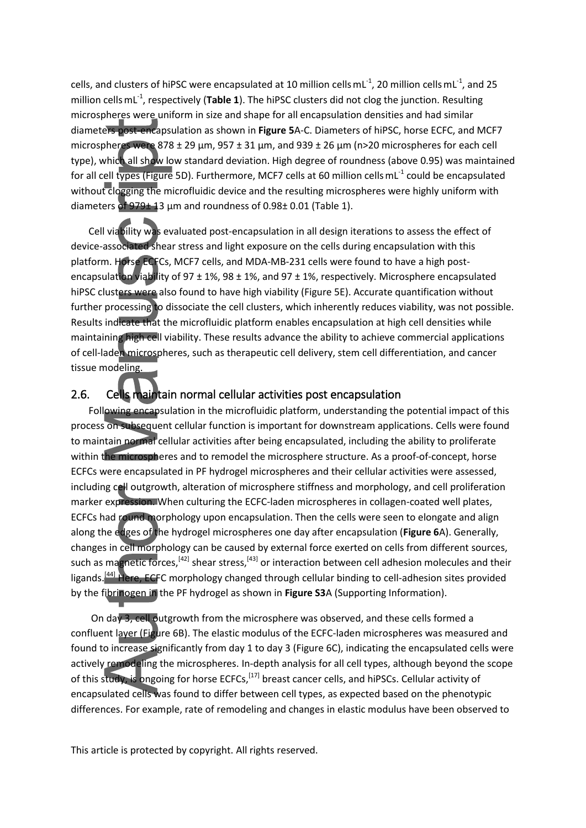cells, and clusters of hiPSC were encapsulated at 10 million cellsmL $^{-1}$ , 20 million cellsmL $^{-1}$ , and 25 million cellsmL-1, respectively (**Table 1**). The hiPSC clusters did not clog the junction. Resulting microspheres were uniform in size and shape for all encapsulation densities and had similar diameters post-encapsulation as shown in **Figure 5**A-C. Diameters of hiPSC, horse ECFC, and MCF7 microspheres were 878 ± 29 μm, 957 ± 31 μm, and 939 ± 26 μm (n>20 microspheres for each cell type), which all show low standard deviation. High degree of roundness (above 0.95) was maintained for all cell types (Figure 5D). Furthermore, MCF7 cells at 60 million cells mL<sup>-1</sup> could be encapsulated without clogging the microfluidic device and the resulting microspheres were highly uniform with diameters of 979 $\pm$  13 µm and roundness of 0.98 $\pm$  0.01 (Table 1).

Cell viability was evaluated post-encapsulation in all design iterations to assess the effect of device-associated shear stress and light exposure on the cells during encapsulation with this platform. Horse ECFCs, MCF7 cells, and MDA-MB-231 cells were found to have a high postencapsulation viability of 97  $\pm$  1%, 98  $\pm$  1%, and 97  $\pm$  1%, respectively. Microsphere encapsulated hiPSC clusters were also found to have high viability (Figure 5E). Accurate quantification without further processing to dissociate the cell clusters, which inherently reduces viability, was not possible. Results indicate that the microfluidic platform enables encapsulation at high cell densities while maintaining high cell viability. These results advance the ability to achieve commercial applications of cell-laden microspheres, such as therapeutic cell delivery, stem cell differentiation, and cancer tissue modeling.

### 2.6. Cells maintain normal cellular activities post encapsulation

Following encapsulation in the microfluidic platform, understanding the potential impact of this process on subsequent cellular function is important for downstream applications. Cells were found to maintain normal cellular activities after being encapsulated, including the ability to proliferate within the microspheres and to remodel the microsphere structure. As a proof-of-concept, horse ECFCs were encapsulated in PF hydrogel microspheres and their cellular activities were assessed, including cell outgrowth, alteration of microsphere stiffness and morphology, and cell proliferation marker expression. When culturing the ECFC-laden microspheres in collagen-coated well plates, ECFCs had round morphology upon encapsulation. Then the cells were seen to elongate and align along the edges of the hydrogel microspheres one day after encapsulation (**Figure 6**A). Generally, changes in cell morphology can be caused by external force exerted on cells from different sources, such as magnetic forces,<sup>[42]</sup> shear stress,<sup>[43]</sup> or interaction between cell adhesion molecules and their ligands.<sup>[44]</sup> Here, ECFC morphology changed through cellular binding to cell-adhesion sites provided by the fibrinogen in the PF hydrogel as shown in **Figure S3**A (Supporting Information).

On day 3, cell outgrowth from the microsphere was observed, and these cells formed a confluent layer (Figure 6B). The elastic modulus of the ECFC-laden microspheres was measured and found to increase significantly from day 1 to day 3 (Figure 6C), indicating the encapsulated cells were actively remodeling the microspheres. In-depth analysis for all cell types, although beyond the scope of this study, is ongoing for horse ECFCs,<sup>[17]</sup> breast cancer cells, and hiPSCs. Cellular activity of encapsulated cells was found to differ between cell types, as expected based on the phenotypic differences. For example, rate of remodeling and changes in elastic modulus have been observed to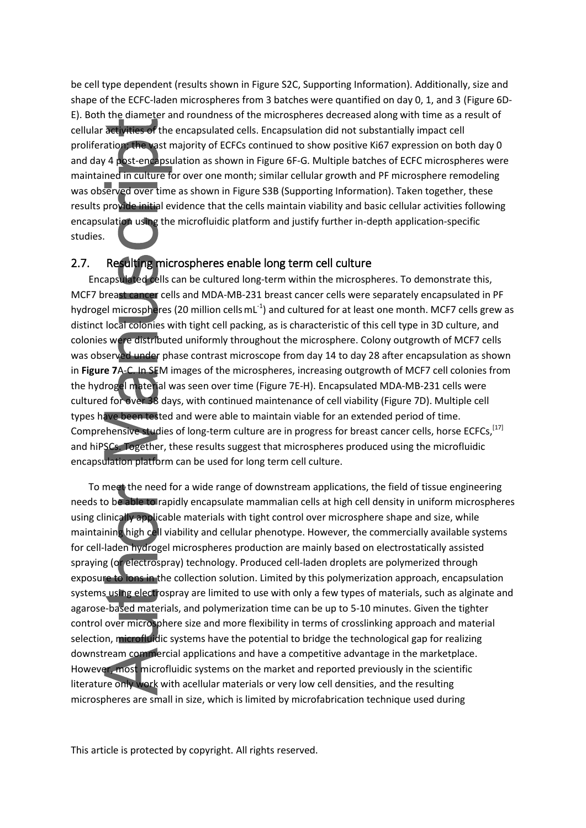be cell type dependent (results shown in Figure S2C, Supporting Information). Additionally, size and shape of the ECFC-laden microspheres from 3 batches were quantified on day 0, 1, and 3 (Figure 6D-E). Both the diameter and roundness of the microspheres decreased along with time as a result of cellular activities of the encapsulated cells. Encapsulation did not substantially impact cell proliferation; the vast majority of ECFCs continued to show positive Ki67 expression on both day 0 and day 4 post-encapsulation as shown in Figure 6F-G. Multiple batches of ECFC microspheres were maintained in culture for over one month; similar cellular growth and PF microsphere remodeling was observed over time as shown in Figure S3B (Supporting Information). Taken together, these results provide initial evidence that the cells maintain viability and basic cellular activities following encapsulation using the microfluidic platform and justify further in-depth application-specific studies.

#### 2.7. Resulting microspheres enable long term cell culture

Encapsulated cells can be cultured long-term within the microspheres. To demonstrate this, MCF7 breast cancer cells and MDA-MB-231 breast cancer cells were separately encapsulated in PF hydrogel microspheres (20 million cells mL<sup>-1</sup>) and cultured for at least one month. MCF7 cells grew as distinct local colonies with tight cell packing, as is characteristic of this cell type in 3D culture, and colonies were distributed uniformly throughout the microsphere. Colony outgrowth of MCF7 cells was observed under phase contrast microscope from day 14 to day 28 after encapsulation as shown in **Figure 7**A-C. In SEM images of the microspheres, increasing outgrowth of MCF7 cell colonies from the hydrogel material was seen over time (Figure 7E-H). Encapsulated MDA-MB-231 cells were cultured for over 38 days, with continued maintenance of cell viability (Figure 7D). Multiple cell types have been tested and were able to maintain viable for an extended period of time. Comprehensive studies of long-term culture are in progress for breast cancer cells, horse ECFCs, [17] and hiPSCs. Together, these results suggest that microspheres produced using the microfluidic encapsulation platform can be used for long term cell culture.

To meet the need for a wide range of downstream applications, the field of tissue engineering needs to be able to rapidly encapsulate mammalian cells at high cell density in uniform microspheres using clinically applicable materials with tight control over microsphere shape and size, while maintaining high cell viability and cellular phenotype. However, the commercially available systems for cell-laden hydrogel microspheres production are mainly based on electrostatically assisted spraying (or electrospray) technology. Produced cell-laden droplets are polymerized through exposure to ions in the collection solution. Limited by this polymerization approach, encapsulation systems using electrospray are limited to use with only a few types of materials, such as alginate and agarose-based materials, and polymerization time can be up to 5-10 minutes. Given the tighter control over microsphere size and more flexibility in terms of crosslinking approach and material selection, microfluidic systems have the potential to bridge the technological gap for realizing downstream commercial applications and have a competitive advantage in the marketplace. However, most microfluidic systems on the market and reported previously in the scientific literature only work with acellular materials or very low cell densities, and the resulting microspheres are small in size, which is limited by microfabrication technique used during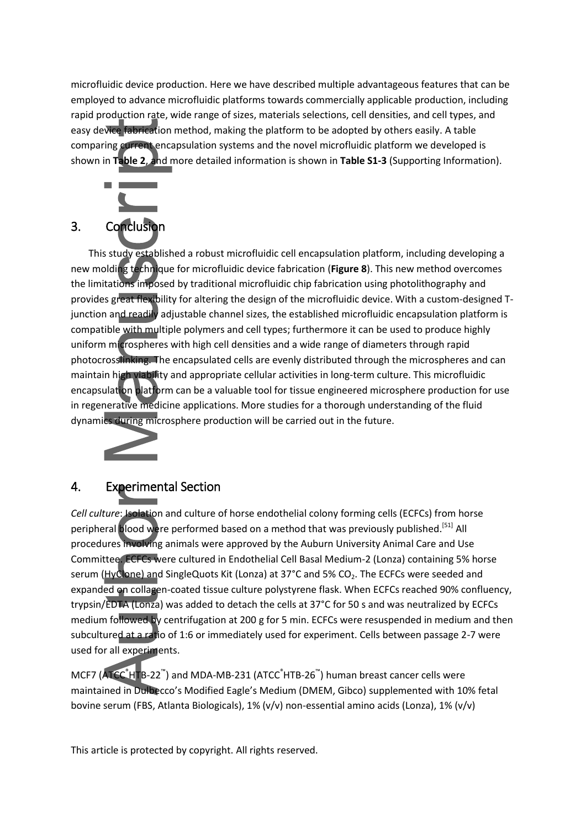microfluidic device production. Here we have described multiple advantageous features that can be employed to advance microfluidic platforms towards commercially applicable production, including rapid production rate, wide range of sizes, materials selections, cell densities, and cell types, and easy device fabrication method, making the platform to be adopted by others easily. A table comparing current encapsulation systems and the novel microfluidic platform we developed is shown in **Table 2**, and more detailed information is shown in **Table S1-3** (Supporting Information).



This study established a robust microfluidic cell encapsulation platform, including developing a new molding technique for microfluidic device fabrication (**Figure 8**). This new method overcomes the limitations imposed by traditional microfluidic chip fabrication using photolithography and provides great flexibility for altering the design of the microfluidic device. With a custom-designed Tjunction and readily adjustable channel sizes, the established microfluidic encapsulation platform is compatible with multiple polymers and cell types; furthermore it can be used to produce highly uniform microspheres with high cell densities and a wide range of diameters through rapid photocrosslinking. The encapsulated cells are evenly distributed through the microspheres and can maintain high viability and appropriate cellular activities in long-term culture. This microfluidic encapsulation platform can be a valuable tool for tissue engineered microsphere production for use in regenerative medicine applications. More studies for a thorough understanding of the fluid dynamics during microsphere production will be carried out in the future.



# 4. Experimental Section

*Cell culture*: Isolation and culture of horse endothelial colony forming cells (ECFCs) from horse peripheral blood were performed based on a method that was previously published.<sup>[51]</sup> All procedures involving animals were approved by the Auburn University Animal Care and Use Committee. ECFCs were cultured in Endothelial Cell Basal Medium-2 (Lonza) containing 5% horse serum (HyClone) and SingleQuots Kit (Lonza) at 37°C and 5% CO<sub>2</sub>. The ECFCs were seeded and expanded on collagen-coated tissue culture polystyrene flask. When ECFCs reached 90% confluency, trypsin/EDTA (Lonza) was added to detach the cells at 37°C for 50 s and was neutralized by ECFCs medium followed by centrifugation at 200 g for 5 min. ECFCs were resuspended in medium and then subcultured at a ratio of 1:6 or immediately used for experiment. Cells between passage 2-7 were used for all experiments.

MCF7 (ATCC<sup>®</sup>HTB-22<sup>™</sup>) and MDA-MB-231 (ATCC<sup>®</sup>HTB-26<sup>™</sup>) human breast cancer cells were maintained in Dulbecco's Modified Eagle's Medium (DMEM, Gibco) supplemented with 10% fetal bovine serum (FBS, Atlanta Biologicals), 1% (v/v) non-essential amino acids (Lonza), 1% (v/v)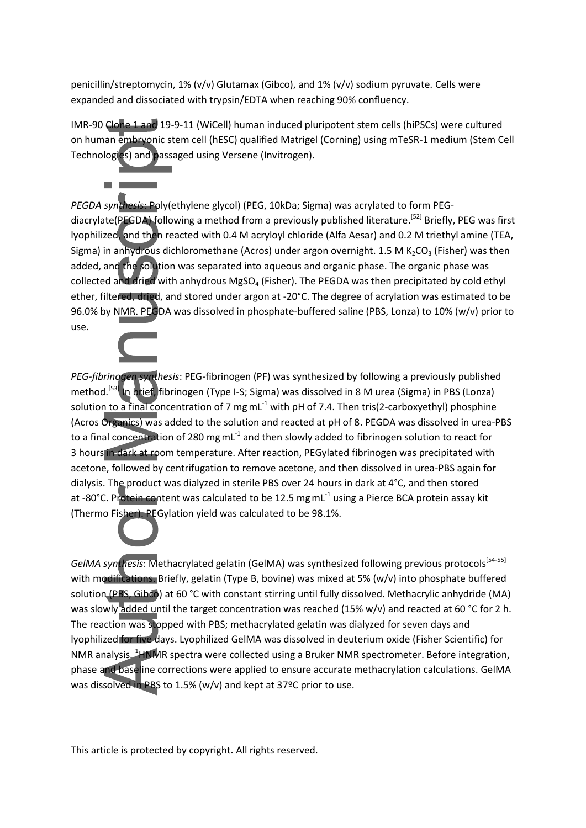penicillin/streptomycin, 1% (v/v) Glutamax (Gibco), and 1% (v/v) sodium pyruvate. Cells were expanded and dissociated with trypsin/EDTA when reaching 90% confluency.

 $\blacksquare$ 

IMR-90 Clone 1 and 19-9-11 (WiCell) human induced pluripotent stem cells (hiPSCs) were cultured on human embryonic stem cell (hESC) qualified Matrigel (Corning) using mTeSR-1 medium (Stem Cell Technologies) and passaged using Versene (Invitrogen).

*PEGDA synthesis*: Poly(ethylene glycol) (PEG, 10kDa; Sigma) was acrylated to form PEGdiacrylate(PEGDA) following a method from a previously published literature.<sup>[52]</sup> Briefly, PEG was first lyophilized, and then reacted with 0.4 M acryloyl chloride (Alfa Aesar) and 0.2 M triethyl amine (TEA, Sigma) in anhydrous dichloromethane (Acros) under argon overnight. 1.5 M  $K_2CO_3$  (Fisher) was then added, and the solution was separated into aqueous and organic phase. The organic phase was collected and dried with anhydrous MgSO<sub>4</sub> (Fisher). The PEGDA was then precipitated by cold ethyl ether, filtered, dried, and stored under argon at -20°C. The degree of acrylation was estimated to be 96.0% by NMR. PEGDA was dissolved in phosphate-buffered saline (PBS, Lonza) to 10% (w/v) prior to use.

*PEG-fibrinogen synthesis*: PEG-fibrinogen (PF) was synthesized by following a previously published method.<sup>[53]</sup> In brief, fibrinogen (Type I-S; Sigma) was dissolved in 8 M urea (Sigma) in PBS (Lonza) solution to a final concentration of 7 mg mL $^{-1}$  with pH of 7.4. Then tris(2-carboxyethyl) phosphine (Acros Organics) was added to the solution and reacted at pH of 8. PEGDA was dissolved in urea-PBS to a final concentration of 280 mgmL $^{-1}$  and then slowly added to fibrinogen solution to react for 3 hours in dark at room temperature. After reaction, PEGylated fibrinogen was precipitated with acetone, followed by centrifugation to remove acetone, and then dissolved in urea-PBS again for dialysis. The product was dialyzed in sterile PBS over 24 hours in dark at 4°C, and then stored at -80°C. Protein content was calculated to be 12.5 mg mL<sup>-1</sup> using a Pierce BCA protein assay kit (Thermo Fisher). PEGylation yield was calculated to be 98.1%.

GelMA synthesis: Methacrylated gelatin (GelMA) was synthesized following previous protocols<sup>[54-55]</sup> with modifications. Briefly, gelatin (Type B, bovine) was mixed at 5% (w/v) into phosphate buffered solution (PBS, Gibco) at 60 °C with constant stirring until fully dissolved. Methacrylic anhydride (MA) was slowly added until the target concentration was reached (15% w/v) and reacted at 60 °C for 2 h. The reaction was stopped with PBS; methacrylated gelatin was dialyzed for seven days and lyophilized for five days. Lyophilized GelMA was dissolved in deuterium oxide (Fisher Scientific) for NMR analysis. <sup>1</sup>HNMR spectra were collected using a Bruker NMR spectrometer. Before integration, phase and baseline corrections were applied to ensure accurate methacrylation calculations. GelMA was dissolved in PBS to 1.5% (w/v) and kept at 37ºC prior to use.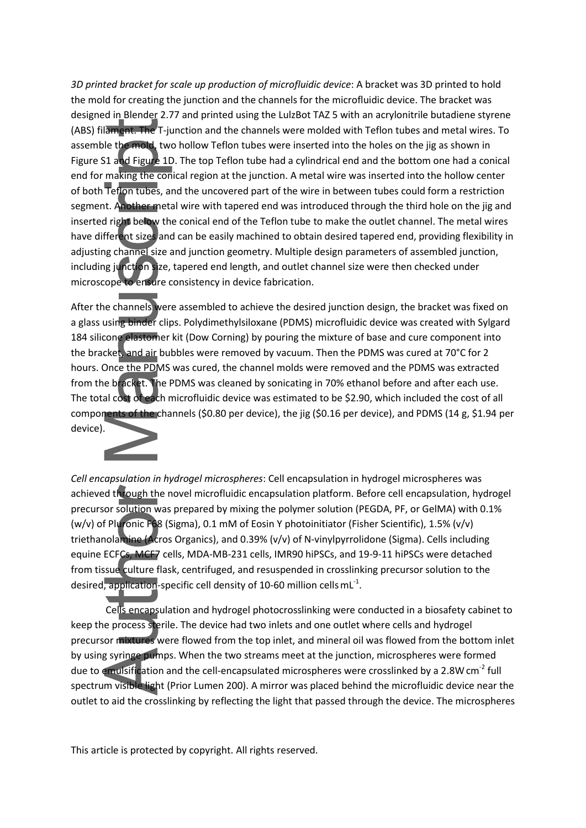*3D printed bracket for scale up production of microfluidic device*: A bracket was 3D printed to hold the mold for creating the junction and the channels for the microfluidic device. The bracket was designed in Blender 2.77 and printed using the LulzBot TAZ 5 with an acrylonitrile butadiene styrene (ABS) filament. The T-junction and the channels were molded with Teflon tubes and metal wires. To assemble the mold, two hollow Teflon tubes were inserted into the holes on the jig as shown in Figure S1 and Figure 1D. The top Teflon tube had a cylindrical end and the bottom one had a conical end for making the conical region at the junction. A metal wire was inserted into the hollow center of both Teflon tubes, and the uncovered part of the wire in between tubes could form a restriction segment. Another metal wire with tapered end was introduced through the third hole on the jig and inserted right below the conical end of the Teflon tube to make the outlet channel. The metal wires have different sizes and can be easily machined to obtain desired tapered end, providing flexibility in adjusting channel size and junction geometry. Multiple design parameters of assembled junction, including junction size, tapered end length, and outlet channel size were then checked under microscope to ensure consistency in device fabrication.

After the channels were assembled to achieve the desired junction design, the bracket was fixed on a glass using binder clips. Polydimethylsiloxane (PDMS) microfluidic device was created with Sylgard 184 silicone elastomer kit (Dow Corning) by pouring the mixture of base and cure component into the bracket, and air bubbles were removed by vacuum. Then the PDMS was cured at 70°C for 2 hours. Once the PDMS was cured, the channel molds were removed and the PDMS was extracted from the bracket. The PDMS was cleaned by sonicating in 70% ethanol before and after each use. The total cost of each microfluidic device was estimated to be \$2.90, which included the cost of all components of the channels (\$0.80 per device), the jig (\$0.16 per device), and PDMS (14 g, \$1.94 per device).



*Cell encapsulation in hydrogel microspheres*: Cell encapsulation in hydrogel microspheres was achieved through the novel microfluidic encapsulation platform. Before cell encapsulation, hydrogel precursor solution was prepared by mixing the polymer solution (PEGDA, PF, or GelMA) with 0.1% (w/v) of Pluronic F68 (Sigma), 0.1 mM of Eosin Y photoinitiator (Fisher Scientific), 1.5% (v/v) triethanolamine (Acros Organics), and 0.39% (v/v) of N-vinylpyrrolidone (Sigma). Cells including equine ECFCs, MCF7 cells, MDA-MB-231 cells, IMR90 hiPSCs, and 19-9-11 hiPSCs were detached from tissue culture flask, centrifuged, and resuspended in crosslinking precursor solution to the desired, application-specific cell density of 10-60 million cells  $mL<sup>-1</sup>$ .

Cells encapsulation and hydrogel photocrosslinking were conducted in a biosafety cabinet to keep the process sterile. The device had two inlets and one outlet where cells and hydrogel precursor mixtures were flowed from the top inlet, and mineral oil was flowed from the bottom inlet by using syringe pumps. When the two streams meet at the junction, microspheres were formed due to emulsification and the cell-encapsulated microspheres were crosslinked by a 2.8W cm<sup>-2</sup> full spectrum visible light (Prior Lumen 200). A mirror was placed behind the microfluidic device near the outlet to aid the crosslinking by reflecting the light that passed through the device. The microspheres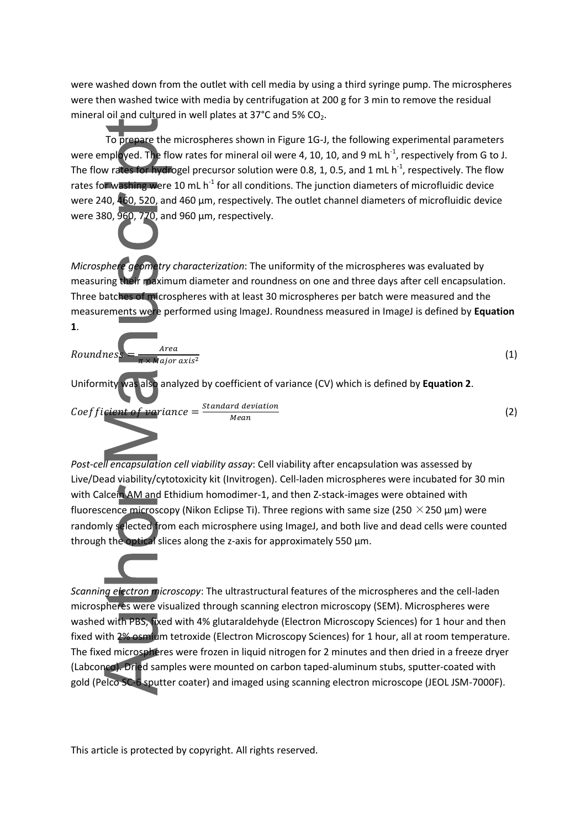were washed down from the outlet with cell media by using a third syringe pump. The microspheres were then washed twice with media by centrifugation at 200 g for 3 min to remove the residual mineral oil and cultured in well plates at  $37^{\circ}$ C and  $5\%$  CO<sub>2</sub>.

To prepare the microspheres shown in Figure 1G-J, the following experimental parameters were employed. The flow rates for mineral oil were 4, 10, 10, and 9 mL  $h^{-1}$ , respectively from G to J. The flow rates for hydrogel precursor solution were 0.8, 1, 0.5, and 1 mL  $h^{-1}$ , respectively. The flow rates for washing were 10 mL  $h^{-1}$  for all conditions. The junction diameters of microfluidic device were 240, 460, 520, and 460 µm, respectively. The outlet channel diameters of microfluidic device were 380, 960, 770, and 960 µm, respectively.

*Microsphere geometry characterization*: The uniformity of the microspheres was evaluated by measuring their maximum diameter and roundness on one and three days after cell encapsulation. Three batches of microspheres with at least 30 microspheres per batch were measured and the measurements were performed using ImageJ. Roundness measured in ImageJ is defined by **Equation 1**.

*Roundness* = 
$$
\frac{Area}{\pi \times \text{Major axis}^2}
$$
 (1)  
Uniformity was also analyzed by coefficient of variance (CV) which is defined by Equation 2.  
*Coefficient of variance* =  $\frac{Standard\ deviation}{Mean}$  (2)

*Post-cell encapsulation cell viability assay*: Cell viability after encapsulation was assessed by Live/Dead viability/cytotoxicity kit (Invitrogen). Cell-laden microspheres were incubated for 30 min with Calcein AM and Ethidium homodimer-1, and then Z-stack-images were obtained with fluorescence microscopy (Nikon Eclipse Ti). Three regions with same size (250  $\times$  250 µm) were randomly selected from each microsphere using ImageJ, and both live and dead cells were counted through the optical slices along the z-axis for approximately 550  $\mu$ m.

*Scanning electron microscopy*: The ultrastructural features of the microspheres and the cell-laden microspheres were visualized through scanning electron microscopy (SEM). Microspheres were washed with PBS, fixed with 4% glutaraldehyde (Electron Microscopy Sciences) for 1 hour and then fixed with 2% osmium tetroxide (Electron Microscopy Sciences) for 1 hour, all at room temperature. The fixed microspheres were frozen in liquid nitrogen for 2 minutes and then dried in a freeze dryer (Labconco). Dried samples were mounted on carbon taped-aluminum stubs, sputter-coated with gold (Pelco SC-6 sputter coater) and imaged using scanning electron microscope (JEOL JSM-7000F).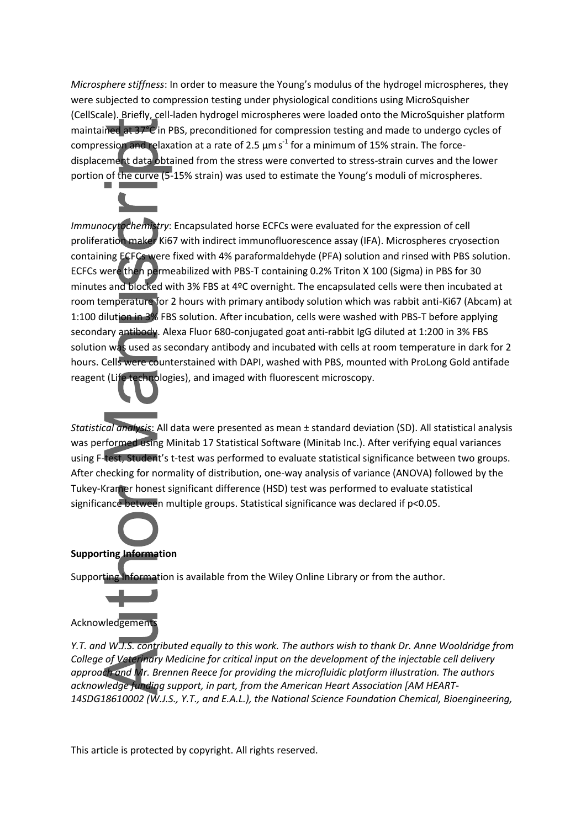*Microsphere stiffness*: In order to measure the Young's modulus of the hydrogel microspheres, they were subjected to compression testing under physiological conditions using MicroSquisher (CellScale). Briefly, cell-laden hydrogel microspheres were loaded onto the MicroSquisher platform maintained at 37°C in PBS, preconditioned for compression testing and made to undergo cycles of compression and relaxation at a rate of 2.5  $\mu$ m s<sup>-1</sup> for a minimum of 15% strain. The forcedisplacement data obtained from the stress were converted to stress-strain curves and the lower portion of the curve (5-15% strain) was used to estimate the Young's moduli of microspheres.

*Immunocytochemistry*: Encapsulated horse ECFCs were evaluated for the expression of cell proliferation maker Ki67 with indirect immunofluorescence assay (IFA). Microspheres cryosection containing ECFCs were fixed with 4% paraformaldehyde (PFA) solution and rinsed with PBS solution. ECFCs were then permeabilized with PBS-T containing 0.2% Triton X 100 (Sigma) in PBS for 30 minutes and blocked with 3% FBS at 4ºC overnight. The encapsulated cells were then incubated at room temperature for 2 hours with primary antibody solution which was rabbit anti-Ki67 (Abcam) at 1:100 dilution in 3% FBS solution. After incubation, cells were washed with PBS-T before applying secondary antibody. Alexa Fluor 680-conjugated goat anti-rabbit IgG diluted at 1:200 in 3% FBS solution was used as secondary antibody and incubated with cells at room temperature in dark for 2 hours. Cells were counterstained with DAPI, washed with PBS, mounted with ProLong Gold antifade reagent (Life technologies), and imaged with fluorescent microscopy.

*Statistical analysis*: All data were presented as mean ± standard deviation (SD). All statistical analysis was performed using Minitab 17 Statistical Software (Minitab Inc.). After verifying equal variances using F-test, Student's t-test was performed to evaluate statistical significance between two groups. After checking for normality of distribution, one-way analysis of variance (ANOVA) followed by the Tukey-Kramer honest significant difference (HSD) test was performed to evaluate statistical significance between multiple groups. Statistical significance was declared if p<0.05.

### **Supporting Information**

Supporting Information is available from the Wiley Online Library or from the author.



*Y.T. and W.J.S. contributed equally to this work. The authors wish to thank Dr. Anne Wooldridge from College of Veterinary Medicine for critical input on the development of the injectable cell delivery approach and Mr. Brennen Reece for providing the microfluidic platform illustration. The authors acknowledge funding support, in part, from the American Heart Association [AM HEART-14SDG18610002 (W.J.S., Y.T., and E.A.L.), the National Science Foundation Chemical, Bioengineering,*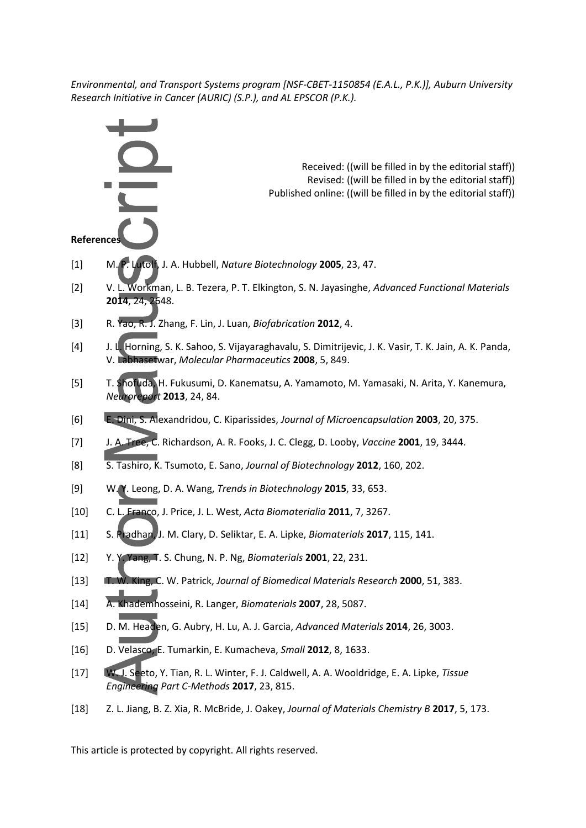*Environmental, and Transport Systems program [NSF-CBET-1150854 (E.A.L., P.K.)], Auburn University Research Initiative in Cancer (AURIC) (S.P.), and AL EPSCOR (P.K.).* 

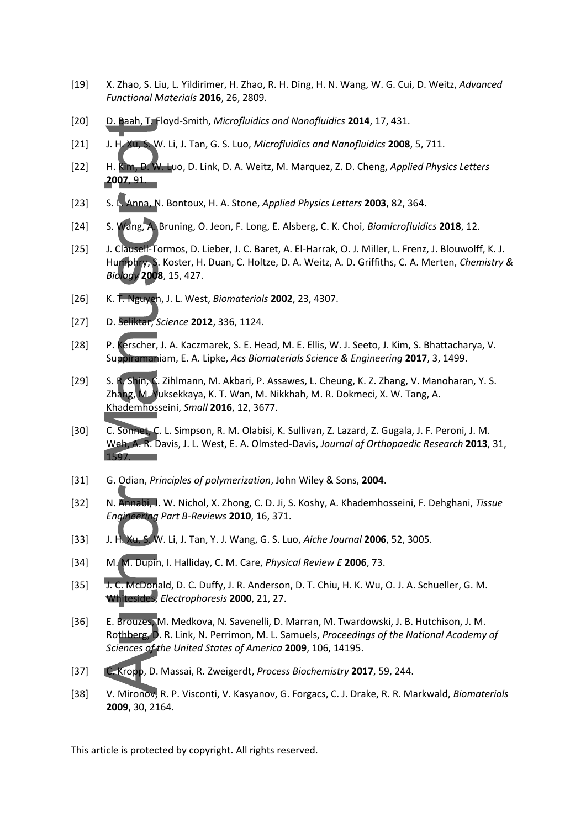- [19] X. Zhao, S. Liu, L. Yildirimer, H. Zhao, R. H. Ding, H. N. Wang, W. G. Cui, D. Weitz, *Advanced Functional Materials* **2016**, 26, 2809.
- [20] D. Baah, T. Floyd-Smith, *Microfluidics and Nanofluidics* **2014**, 17, 431.
- [21] J. H. Xu, S. W. Li, J. Tan, G. S. Luo, *Microfluidics and Nanofluidics* **2008**, 5, 711.
- [22] H. Kim, D. W. Luo, D. Link, D. A. Weitz, M. Marquez, Z. D. Cheng, *Applied Physics Letters* **2007**, 91.
- [23] S. L. Anna, N. Bontoux, H. A. Stone, *Applied Physics Letters* **2003**, 82, 364.
- [24] S. Wang, A. Bruning, O. Jeon, F. Long, E. Alsberg, C. K. Choi, *Biomicrofluidics* **2018**, 12.
- [25] J. Clausell-Tormos, D. Lieber, J. C. Baret, A. El-Harrak, O. J. Miller, L. Frenz, J. Blouwolff, K. J. Humphry, S. Koster, H. Duan, C. Holtze, D. A. Weitz, A. D. Griffiths, C. A. Merten, *Chemistry & Biology* **2008**, 15, 427.
- [26] K. T. Nguyen, J. L. West, *Biomaterials* **2002**, 23, 4307.
- [27] D. Seliktar, *Science* **2012**, 336, 1124.
- [28] P. Kerscher, J. A. Kaczmarek, S. E. Head, M. E. Ellis, W. J. Seeto, J. Kim, S. Bhattacharya, V. Suppiramaniam, E. A. Lipke, *Acs Biomaterials Science & Engineering* **2017**, 3, 1499.
- [29] S. R. Shin, C. Zihlmann, M. Akbari, P. Assawes, L. Cheung, K. Z. Zhang, V. Manoharan, Y. S. Zhang, M. Yuksekkaya, K. T. Wan, M. Nikkhah, M. R. Dokmeci, X. W. Tang, A. Khademhosseini, *Small* **2016**, 12, 3677.
- [30] C. Sonnet, C. L. Simpson, R. M. Olabisi, K. Sullivan, Z. Lazard, Z. Gugala, J. F. Peroni, J. M. Weh, A. R. Davis, J. L. West, E. A. Olmsted-Davis, *Journal of Orthopaedic Research* **2013**, 31, 1597.
- [31] G. Odian, *Principles of polymerization*, John Wiley & Sons, **2004**.
- [32] N. Annabi, J. W. Nichol, X. Zhong, C. D. Ji, S. Koshy, A. Khademhosseini, F. Dehghani, *Tissue Engineering Part B-Reviews* **2010**, 16, 371.
- [33] J. H. Xu, S. W. Li, J. Tan, Y. J. Wang, G. S. Luo, *Aiche Journal* **2006**, 52, 3005.
- [34] M. M. Dupin, I. Halliday, C. M. Care, *Physical Review E* **2006**, 73.
- [35] J. C. McDonald, D. C. Duffy, J. R. Anderson, D. T. Chiu, H. K. Wu, O. J. A. Schueller, G. M. Whitesides, *Electrophoresis* **2000**, 21, 27.
- [36] E. Brouzes, M. Medkova, N. Savenelli, D. Marran, M. Twardowski, J. B. Hutchison, J. M. Rothberg, D. R. Link, N. Perrimon, M. L. Samuels, *Proceedings of the National Academy of Sciences of the United States of America* **2009**, 106, 14195.
- [37] C. Kropp, D. Massai, R. Zweigerdt, *Process Biochemistry* **2017**, 59, 244.
- [38] V. Mironov, R. P. Visconti, V. Kasyanov, G. Forgacs, C. J. Drake, R. R. Markwald, *Biomaterials* **2009**, 30, 2164.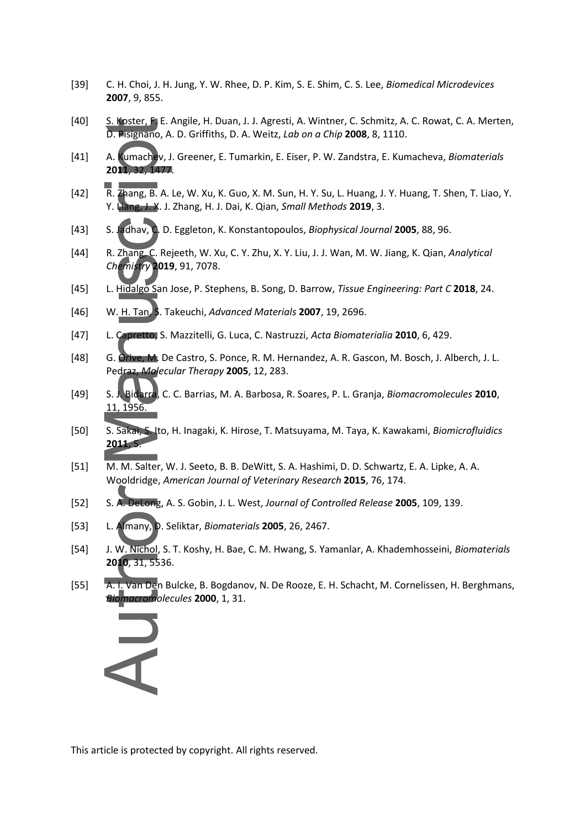- [39] C. H. Choi, J. H. Jung, Y. W. Rhee, D. P. Kim, S. E. Shim, C. S. Lee, *Biomedical Microdevices* **2007**, 9, 855.
- [40] S. Koster, F. E. Angile, H. Duan, J. J. Agresti, A. Wintner, C. Schmitz, A. C. Rowat, C. A. Merten, D. Pisignano, A. D. Griffiths, D. A. Weitz, *Lab on a Chip* **2008**, 8, 1110.
- [41] A. Kumachev, J. Greener, E. Tumarkin, E. Eiser, P. W. Zandstra, E. Kumacheva, *Biomaterials* **2011**, 32, 1477.
- [42] R. Zhang, B. A. Le, W. Xu, K. Guo, X. M. Sun, H. Y. Su, L. Huang, J. Y. Huang, T. Shen, T. Liao, Y. Y. Liang, J. X. J. Zhang, H. J. Dai, K. Qian, *Small Methods* **2019**, 3.
- [43] S. Jadhav, C. D. Eggleton, K. Konstantopoulos, *Biophysical Journal* **2005**, 88, 96.
- [44] R. Zhang, C. Rejeeth, W. Xu, C. Y. Zhu, X. Y. Liu, J. J. Wan, M. W. Jiang, K. Qian, *Analytical Chemistry* **2019**, 91, 7078.
- [45] L. Hidalgo San Jose, P. Stephens, B. Song, D. Barrow, *Tissue Engineering: Part C* **2018**, 24.
- [46] W. H. Tan, S. Takeuchi, *Advanced Materials* **2007**, 19, 2696.
- [47] L. Capretto, S. Mazzitelli, G. Luca, C. Nastruzzi, *Acta Biomaterialia* **2010**, 6, 429.
- [48] G. Orive, M. De Castro, S. Ponce, R. M. Hernandez, A. R. Gascon, M. Bosch, J. Alberch, J. L. Pedraz, *Molecular Therapy* **2005**, 12, 283.
- [49] S. J. Bidarra, C. C. Barrias, M. A. Barbosa, R. Soares, P. L. Granja, *Biomacromolecules* **2010**, 11, 1956.
- [50] S. Sakai, S. Ito, H. Inagaki, K. Hirose, T. Matsuyama, M. Taya, K. Kawakami, *Biomicrofluidics* **2011**, 5.
- [51] M. M. Salter, W. J. Seeto, B. B. DeWitt, S. A. Hashimi, D. D. Schwartz, E. A. Lipke, A. A. Wooldridge, *American Journal of Veterinary Research* **2015**, 76, 174.
- [52] S. A. DeLong, A. S. Gobin, J. L. West, *Journal of Controlled Release* **2005**, 109, 139.
- [53] L. Almany, D. Seliktar, *Biomaterials* **2005**, 26, 2467.
- [54] J. W. Nichol, S. T. Koshy, H. Bae, C. M. Hwang, S. Yamanlar, A. Khademhosseini, *Biomaterials* **2010**, 31, 5536.
- [55] A. I. Van Den Bulcke, B. Bogdanov, N. De Rooze, E. H. Schacht, M. Cornelissen, H. Berghmans, *Biomacromolecules* **2000**, 1, 31.

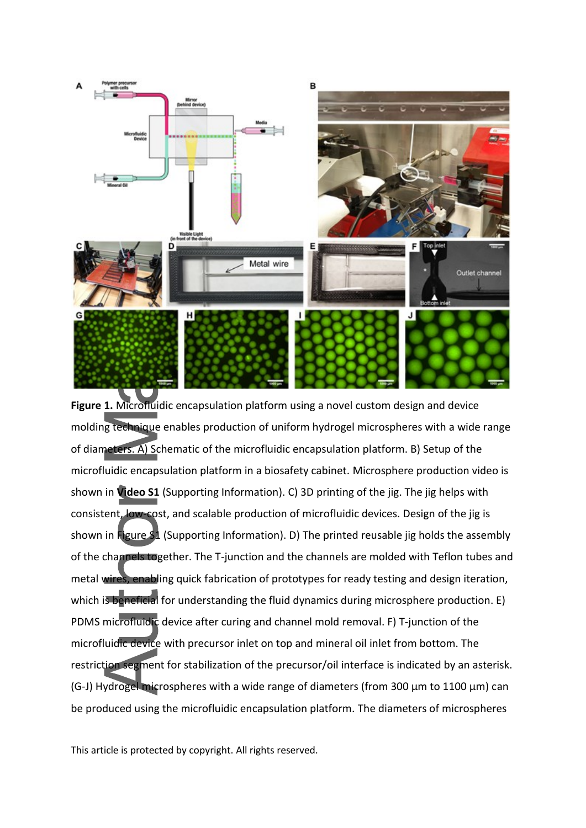

**Figure 1.** Microfluidic encapsulation platform using a novel custom design and device molding technique enables production of uniform hydrogel microspheres with a wide range of diameters. A) Schematic of the microfluidic encapsulation platform. B) Setup of the microfluidic encapsulation platform in a biosafety cabinet. Microsphere production video is shown in **Video S1** (Supporting Information). C) 3D printing of the jig. The jig helps with consistent, low-cost, and scalable production of microfluidic devices. Design of the jig is shown in Figure S1 (Supporting Information). D) The printed reusable jig holds the assembly of the channels together. The T-junction and the channels are molded with Teflon tubes and metal wires, enabling quick fabrication of prototypes for ready testing and design iteration, which is beneficial for understanding the fluid dynamics during microsphere production. E) PDMS microfluidic device after curing and channel mold removal. F) T-junction of the microfluidic device with precursor inlet on top and mineral oil inlet from bottom. The restriction segment for stabilization of the precursor/oil interface is indicated by an asterisk. (G-J) Hydrogel microspheres with a wide range of diameters (from 300 µm to 1100 µm) can be produced using the microfluidic encapsulation platform. The diameters of microspheres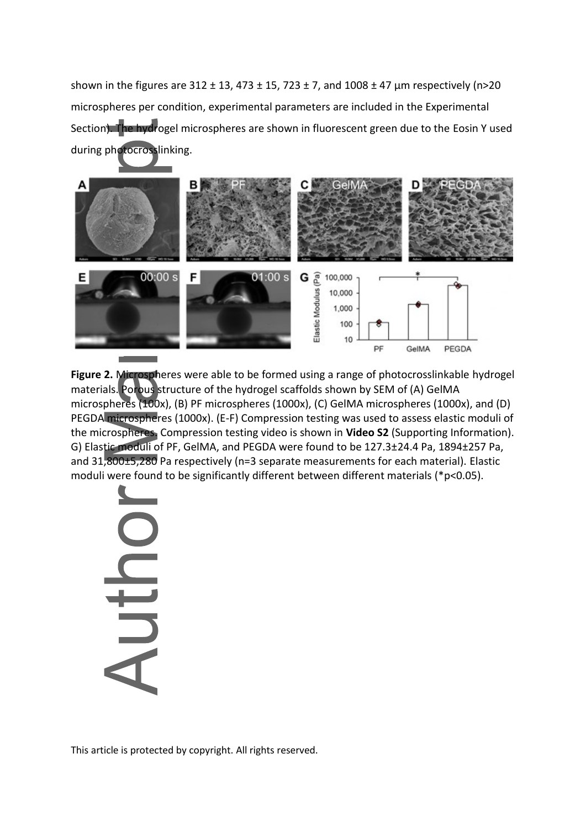shown in the figures are  $312 \pm 13$ ,  $473 \pm 15$ ,  $723 \pm 7$ , and  $1008 \pm 47$  µm respectively (n>20 microspheres per condition, experimental parameters are included in the Experimental Section). The hydrogel microspheres are shown in fluorescent green due to the Eosin Y used during photocrosslinking.



**Figure 2.** Microspheres were able to be formed using a range of photocrosslinkable hydrogel materials. Porous structure of the hydrogel scaffolds shown by SEM of (A) GelMA microspheres (100x), (B) PF microspheres (1000x), (C) GelMA microspheres (1000x), and (D) PEGDA microspheres (1000x). (E-F) Compression testing was used to assess elastic moduli of the microspheres. Compression testing video is shown in **Video S2** (Supporting Information). G) Elastic moduli of PF, GelMA, and PEGDA were found to be 127.3±24.4 Pa, 1894±257 Pa, and 31,800±5,280 Pa respectively (n=3 separate measurements for each material). Elastic moduli were found to be significantly different between different materials (\*p<0.05).

Nur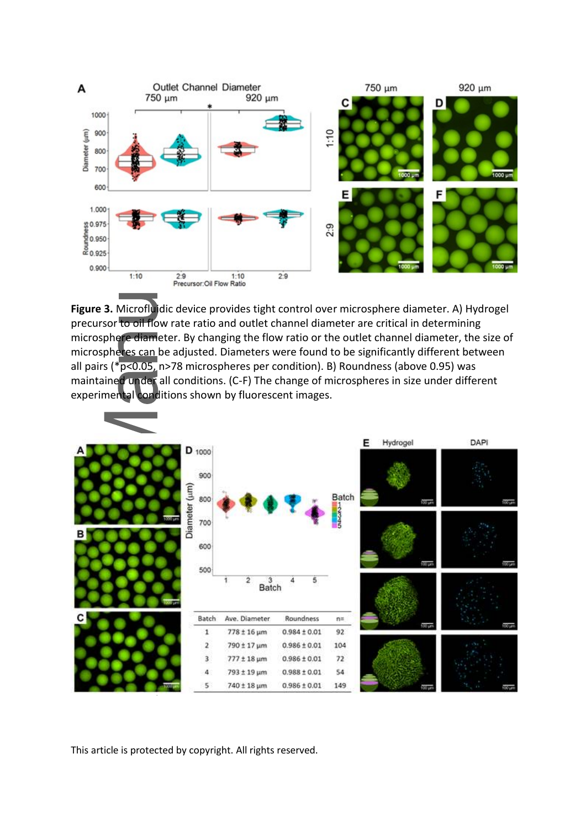

**Figure 3.** Microfluidic device provides tight control over microsphere diameter. A) Hydrogel precursor to oil flow rate ratio and outlet channel diameter are critical in determining microsphere diameter. By changing the flow ratio or the outlet channel diameter, the size of microspheres can be adjusted. Diameters were found to be significantly different between all pairs ( $p < 0.05$ , n>78 microspheres per condition). B) Roundness (above 0.95) was maintained under all conditions. (C-F) The change of microspheres in size under different experimental conditions shown by fluorescent images.

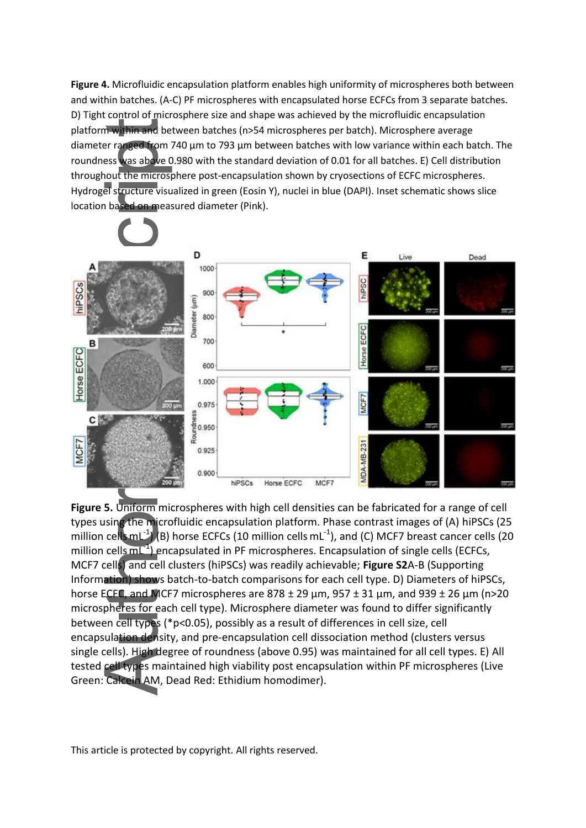**Figure 4.** Microfluidic encapsulation platform enables high uniformity of microspheres both between and within batches. (A-C) PF microspheres with encapsulated horse ECFCs from 3 separate batches. D) Tight control of microsphere size and shape was achieved by the microfluidic encapsulation platform within and between batches (n>54 microspheres per batch). Microsphere average diameter ranged from 740 μm to 793 μm between batches with low variance within each batch. The roundness was above 0.980 with the standard deviation of 0.01 for all batches. E) Cell distribution throughout the microsphere post-encapsulation shown by cryosections of ECFC microspheres. Hydrogel structure visualized in green (Eosin Y), nuclei in blue (DAPI). Inset schematic shows slice location based on measured diameter (Pink).



**Figure 5.** Uniform microspheres with high cell densities can be fabricated for a range of cell types using the microfluidic encapsulation platform. Phase contrast images of (A) hiPSCs (25 million cellsmL<sup>-1</sup>) (B) horse ECFCs (10 million cells mL<sup>-1</sup>), and (C) MCF7 breast cancer cells (20 million cells mL<sup>-1</sup>) encapsulated in PF microspheres. Encapsulation of single cells (ECFCs, MCF7 cells) and cell clusters (hiPSCs) was readily achievable; **Figure S2**A-B (Supporting Information) shows batch-to-batch comparisons for each cell type. D) Diameters of hiPSCs, horse ECFC, and MCF7 microspheres are  $878 \pm 29$  μm,  $957 \pm 31$  μm, and  $939 \pm 26$  μm (n>20 microspheres for each cell type). Microsphere diameter was found to differ significantly between cell types (\*p<0.05), possibly as a result of differences in cell size, cell encapsulation density, and pre-encapsulation cell dissociation method (clusters versus single cells). High degree of roundness (above 0.95) was maintained for all cell types. E) All tested cell types maintained high viability post encapsulation within PF microspheres (Live Green: Calcein AM, Dead Red: Ethidium homodimer).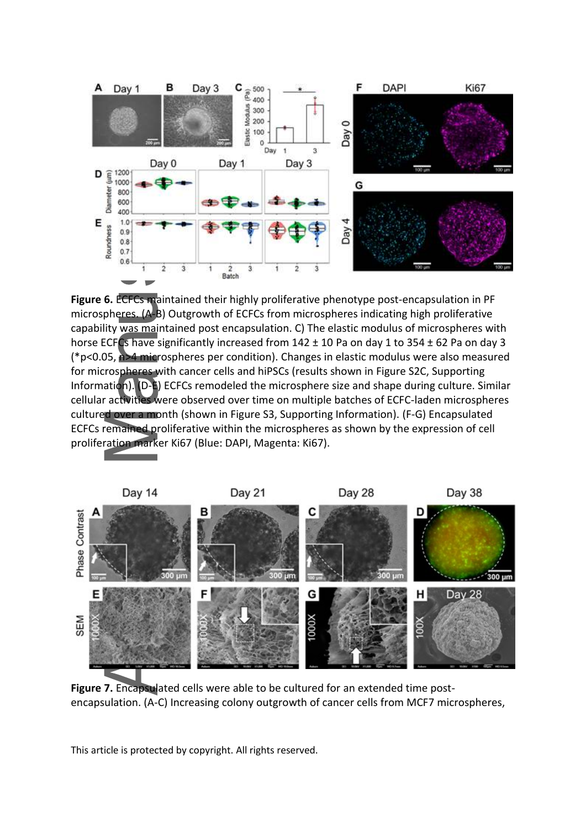

**Figure 6.** ECFCs maintained their highly proliferative phenotype post-encapsulation in PF microspheres. (A-B) Outgrowth of ECFCs from microspheres indicating high proliferative capability was maintained post encapsulation. C) The elastic modulus of microspheres with horse ECFCs have significantly increased from 142 ± 10 Pa on day 1 to 354 ± 62 Pa on day 3 (\*p<0.05, n>4 microspheres per condition). Changes in elastic modulus were also measured for microspheres with cancer cells and hiPSCs (results shown in Figure S2C, Supporting Information). (D-E) ECFCs remodeled the microsphere size and shape during culture. Similar cellular activities were observed over time on multiple batches of ECFC-laden microspheres cultured over a month (shown in Figure S3, Supporting Information). (F-G) Encapsulated ECFCs remained proliferative within the microspheres as shown by the expression of cell proliferation marker Ki67 (Blue: DAPI, Magenta: Ki67).



**Figure 7.** Encapsulated cells were able to be cultured for an extended time postencapsulation. (A-C) Increasing colony outgrowth of cancer cells from MCF7 microspheres,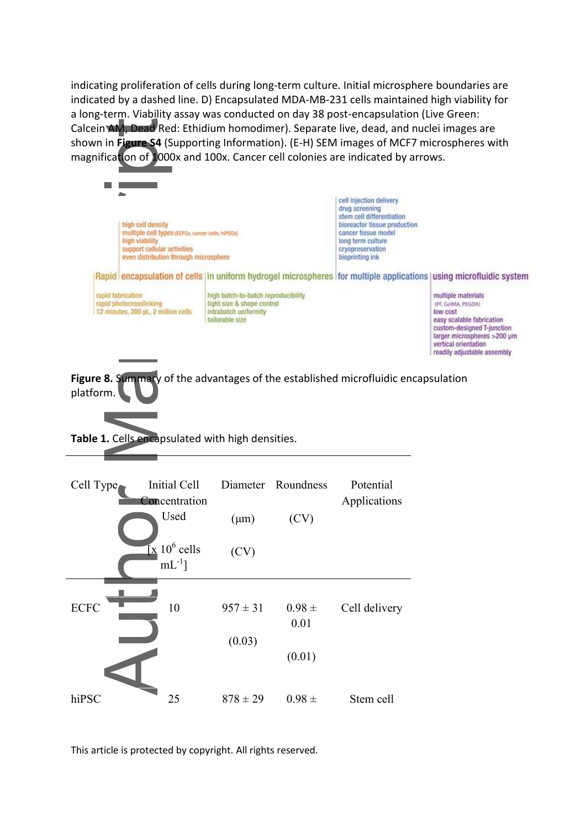indicating proliferation of cells during long-term culture. Initial microsphere boundaries are indicated by a dashed line. D) Encapsulated MDA-MB-231 cells maintained high viability for a long-term. Viability assay was conducted on day 38 post-encapsulation (Live Green: Calcein AM, Dead Red: Ethidium homodimer). Separate live, dead, and nuclei images are shown in **Figure S4** (Supporting Information). (E-H) SEM images of MCF7 microspheres with magnification of 1000x and 100x. Cancer cell colonies are indicated by arrows.



**Figure 8.** Summary of the advantages of the established microfluidic encapsulation platform.

**Table 1.** Cells encapsulated with high densities.

| Cell Type   | Initial Cell<br>Concentration                     |              | Diameter Roundness | Potential<br>Applications |
|-------------|---------------------------------------------------|--------------|--------------------|---------------------------|
|             | Used                                              | $(\mu m)$    | (CV)               |                           |
|             | $\mathbf{x}$ 10 <sup>6</sup> cells<br>$mL^{-1}$ ] | (CV)         |                    |                           |
|             |                                                   |              |                    |                           |
| <b>ECFC</b> | 10                                                | $957 \pm 31$ | $0.98 \pm$<br>0.01 | Cell delivery             |
|             |                                                   | (0.03)       |                    |                           |
|             |                                                   |              | (0.01)             |                           |
| hiPSC       | 25                                                | $878 \pm 29$ | $0.98 \pm$         | Stem cell                 |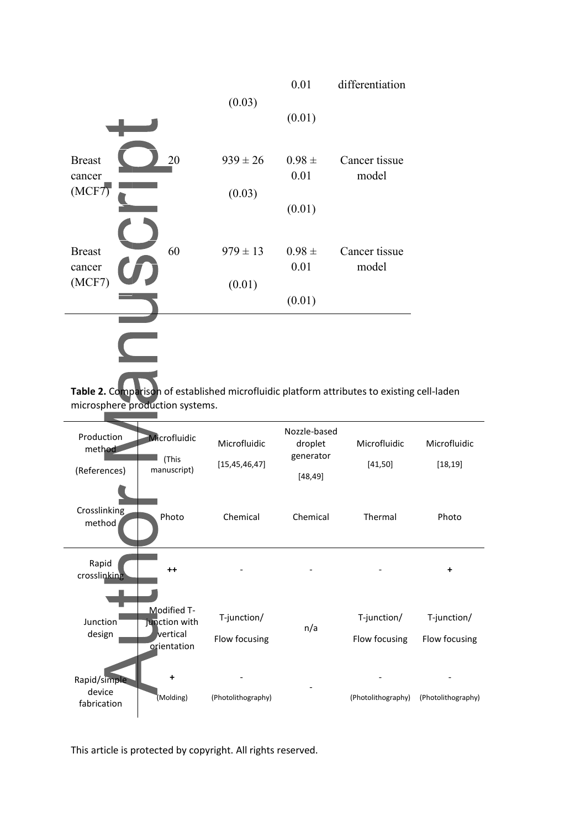

**Table 2.** Comparison of established microfluidic platform attributes to existing cell-laden microsphere production systems.

| Production<br>method<br>(References)  | Microfluidic<br>(This<br>manuscript)                    | Microfluidic<br>[15, 45, 46, 47] | Nozzle-based<br>droplet<br>generator<br>[48, 49] | Microfluidic<br>[41, 50]     | Microfluidic<br>[18, 19]     |
|---------------------------------------|---------------------------------------------------------|----------------------------------|--------------------------------------------------|------------------------------|------------------------------|
| Crosslinking<br>method                | Photo                                                   | Chemical                         | Chemical                                         | Thermal                      | Photo                        |
| Rapid<br>crosslinking                 | $++$                                                    |                                  |                                                  |                              | $\ddot{}$                    |
| Junction<br>design                    | Modified T-<br>junction with<br>vertical<br>orientation | T-junction/<br>Flow focusing     | n/a                                              | T-junction/<br>Flow focusing | T-junction/<br>Flow focusing |
| Rapid/simple<br>device<br>fabrication | ÷<br>(Molding)                                          | (Photolithography)               |                                                  | (Photolithography)           | (Photolithography)           |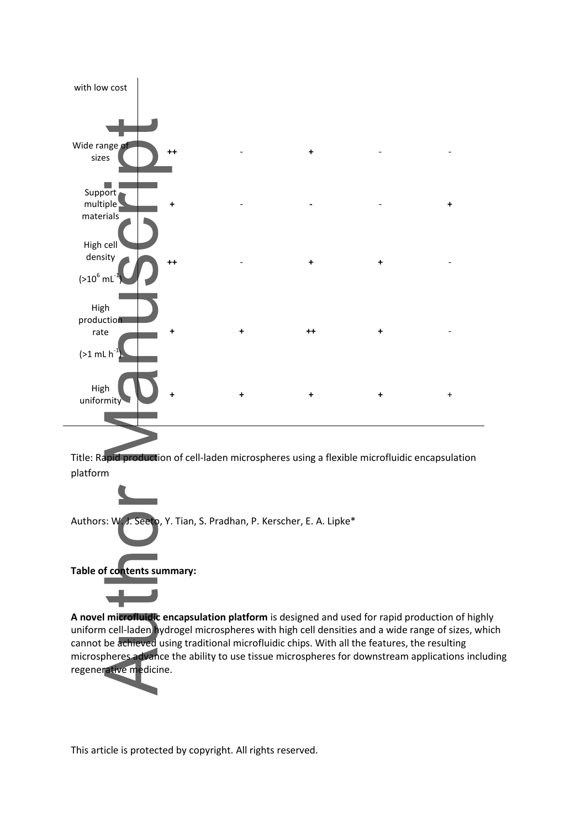

Title: Rapid production of cell-laden microspheres using a flexible microfluidic encapsulation platform



**A novel microfluidic encapsulation platform** is designed and used for rapid production of highly uniform cell-laden hydrogel microspheres with high cell densities and a wide range of sizes, which cannot be achieved using traditional microfluidic chips. With all the features, the resulting microspheres advance the ability to use tissue microspheres for downstream applications including regenerative medicine.